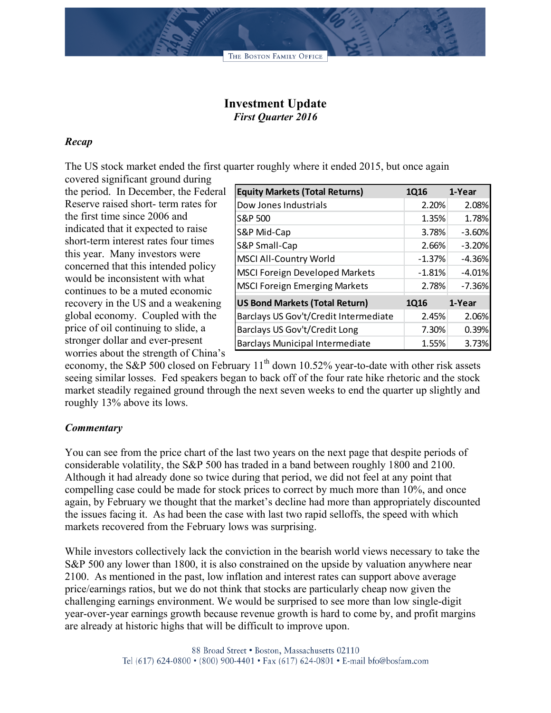## **Investment Update** *First Quarter 2016*

## *Recap*

The US stock market ended the first quarter roughly where it ended 2015, but once again

covered significant ground during the period. In December, the Federal Reserve raised short- term rates for the first time since 2006 and indicated that it expected to raise short-term interest rates four times this year. Many investors were concerned that this intended policy would be inconsistent with what continues to be a muted economic recovery in the US and a weakening global economy. Coupled with the price of oil continuing to slide, a stronger dollar and ever-present worries about the strength of China's

| <b>Equity Markets (Total Returns)</b>  | 1Q16     | 1-Year   |
|----------------------------------------|----------|----------|
| Dow Jones Industrials                  | 2.20%    | 2.08%    |
| S&P 500                                | 1.35%    | 1.78%    |
| S&P Mid-Cap                            | 3.78%    | $-3.60%$ |
| S&P Small-Cap                          | 2.66%    | $-3.20%$ |
| <b>MSCI All-Country World</b>          | $-1.37%$ | $-4.36%$ |
| <b>MSCI Foreign Developed Markets</b>  | $-1.81%$ | $-4.01%$ |
| <b>MSCI Foreign Emerging Markets</b>   | 2.78%    | $-7.36%$ |
| <b>US Bond Markets (Total Return)</b>  | 1Q16     | 1-Year   |
| Barclays US Gov't/Credit Intermediate  | 2.45%    | 2.06%    |
| Barclays US Gov't/Credit Long          | 7.30%    | 0.39%    |
| <b>Barclays Municipal Intermediate</b> | 1.55%    | 3.73%    |

economy, the S&P 500 closed on February  $11<sup>th</sup>$  down 10.52% year-to-date with other risk assets seeing similar losses. Fed speakers began to back off of the four rate hike rhetoric and the stock market steadily regained ground through the next seven weeks to end the quarter up slightly and roughly 13% above its lows.

## *Commentary*

You can see from the price chart of the last two years on the next page that despite periods of considerable volatility, the S&P 500 has traded in a band between roughly 1800 and 2100. Although it had already done so twice during that period, we did not feel at any point that compelling case could be made for stock prices to correct by much more than 10%, and once again, by February we thought that the market's decline had more than appropriately discounted the issues facing it. As had been the case with last two rapid selloffs, the speed with which markets recovered from the February lows was surprising.

While investors collectively lack the conviction in the bearish world views necessary to take the S&P 500 any lower than 1800, it is also constrained on the upside by valuation anywhere near 2100. As mentioned in the past, low inflation and interest rates can support above average price/earnings ratios, but we do not think that stocks are particularly cheap now given the challenging earnings environment. We would be surprised to see more than low single-digit year-over-year earnings growth because revenue growth is hard to come by, and profit margins are already at historic highs that will be difficult to improve upon.